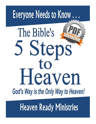

**Heaven Ready Ministries**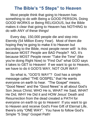# **The Bible's "5 Steps" to Heaven**

 Most people think that going to Heaven has something to do with Being a GOOD PERSON, Doing GOOD WORKS or Being RELIGIOUS, but the Bible makes it clear that going to Heaven has NOTHING to do with ANY of these things!

 Every day, 150,000 people die and step into Eternity (54 Million Every Year). Most of them die hoping they're going to make it to Heaven but according to the Bible, most people never will! Is this because MOST People are BAD People? NO, It's because MOST People never "Take the Time" (like you're doing Right Now) to "Find Out" what GOD says it takes to GET to Heaven! If we want to go to Heaven, we have to do it GOD'S WAY, NOT OUR WAY!

So what is, "GOD'S WAY"? God has a simple message called "THE GOSPEL" that He wants everyone on earth to hear. "The Gospel" means, "Good News" and the "Good News" is all about God's Son Jesus Christ; WHO He is, WHAT He Said, WHAT He Did, WHY He Did it and HOW Jesus' Death and Resurrection from the dead created a PATH for everyone on earth to go to Heaven! If you want to go to Heaven and receive God's Free Gift of Eternal Life, there's only "ONE WAY". You have to follow God's Simple "5 Step" Gospel Path!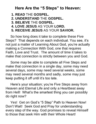# **Here Are the "5 Steps" to Heaven:**

 **1. READ** THE **GOSPEL.**

 **2. UNDERSTAND** THE **GOSPEL.** 

 **3. BELIEVE** THE **GOSPEL.** 

 **4. LOVE JESUS** AS YOUR **LORD.**

**5. RECEIVE JESUS** AS YOUR **SAVIOR.**

 So how long does it take to complete these Five Steps? That depends on each individual. You see, it's not just a matter of Learning About God, you're actually making a Connection With God, one that requires Faith, Love and Trust. The amount of time it takes to make that connection is strictly between you and God.

 Some may be able to complete all Five Steps and make that connection in a single day, some may need several days, some may need several weeks, some may need several months and sadly, some may just keep putting it off until it's too late.

 Here's your situation; you're Five Steps away from Heaven and Eternal Life and only a Heartbeat away from Hell! What's the smartest thing you can possibly do right now?

 Yes! Get on God's "5 Step" Path to Heaven Now! Don't Wait! Seek God and Pray for understanding every step of the way. God promises to reveal Himself to those that seek Him with their Whole Heart!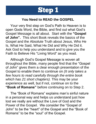

## **You Need to READ the GOSPEL**

 Your very first step on God's Path to Heaven is to open Gods Word, the Bible, and find out what God's Gospel Message is all about. Start with the **"Gospel of John".** This short Book reveals the basics of the Gospel and the Absolute Truth about Jesus, Who He Is, What He Said, What He Did and Why He Did it. Ask God to help you understand and to give you the Faith to Believe His "Living Word" as you read.

 Although God's Gospel Message is woven all throughout the Bible, many people find that the "Gospel of John" gives them a clear enough presentation of the Gospel to enable them to continue on *(It only takes a few hours to read carefully through the entire book which has 21 short chapters).* This may be your experience as well, but if not, continue on to the **"Book of Romans"** before continuing on to Step 2.

 The "Book of Romans" explains man's sinful nature in a personal way and helps us understand just how lost we really are without the Love of God and the Power of the Gospel. We consider the "Gospel of John" to be the "heart" of the Gospel and the "Book of Romans" to be the "soul" of the Gospel.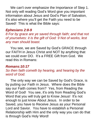We can't over emphasize the Importance of Step 1. Not only will reading God's Word give you important information about Jesus and God's Plan of Salvation, it's also where you'll get the Faith you need to be Saved! This is what the Bible says:

#### *Ephesians 2:8-9*

*8 For by grace are ye saved through faith; and that not of yourselves: it is the gift of God: 9 Not of works, lest any man should boast.*

You see, we are Saved by God's GRACE through our FAITH in Jesus Christ and NOT by anything that we could ever DO. It's a FREE Gift from God. We read this in Romans:

#### *Romans:10:17*

*So then faith cometh by hearing, and hearing by the word of God.*

The only way we can be Saved by God's Grace, is by putting our Faith in Jesus. Where does the Bible say our Faith comes from? Yes, from Reading the Word of God! You see, it's only from Reading God's Word that you will truly get to Know Jesus! It's not enough to just know About Jesus. In order to be Saved, you have to Receive Jesus as your Personal Lord and Savior. You have to establish a Personal Relationship with Him and the only way you can do that is through God's Holy Word!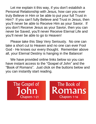Let me explain it this way, if you don't establish a Personal Relationship with Jesus, how can you ever truly Believe in Him or be able to put your full Trust in Him? If you can't fully Believe and Trust in Jesus, then you'll never be able to Receive Him as your Savior. If you don't Receive Jesus as your Savior, then you can never be Saved, you'll never Receive Eternal Life and you'll never be able to go to Heaven!

Please take this Step Very Seriously. No one can take a short cut to Heaven and no one can ever Fool God - He knows our every thought. Remember above all, your Eternal Destiny is hanging in the Balance!

We have provided online links below so you can have instant access to the "Gospel of John" and the "Book of Romans". Just click on the buttons below and you can instantly start reading.

The Gospel of **Chapters 1-21** 

The Book of Romans **Chapters 1-16**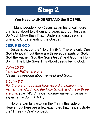

# **You Need to UNDERSTAND the GOSPEL**

 Many people know Jesus as an historical figure that lived about two thousand years ago but Jesus is So Much More than That! Understanding Jesus is critical to Understanding the Gospel!

## **JESUS IS GOD**

Jesus is part of the "Holy Trinity". There is only One God (Jehovah) but there are three equal parts of God; God the Father, God the Son (Jesus) and God the Holy Spirit. The Bible Says This About Jesus being God:

*John 10:30 I and my Father are one. (Jesus is speaking about Himself and God).*

# *1 John 5:7*

*For there are three that bear record in heaven, the Father, the Word, and the Holy Ghost: and these three are one. (the "Word" is just another name for Jesus – explained in John 1:1-17).*

No one can fully explain the Trinity this side of Heaven but here are a few examples that help illustrate the "Three-in-One" concept.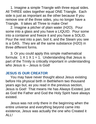1. Imagine a simple Triangle with three equal sides. All THREE sides together equal ONE Triangle. Each side is just as important as the other because If you remove one of the three sides, you no longer have a Triangle. It takes all Three to make One!

2. Imagine a pitcher of plain water (H2O). Pour some into a glass and you have a LIQUID. Pour some into a container and freeze it and you have a SOLID. Pour the rest into a pan, boil it, and the Steam you see is a GAS. They are all the same substance (H2O) in three different forms.

3. Or you could apply this simple mathematical formula:  $1 \times 1 \times 1 = 1$ . Understanding that Jesus is part of the Trinity is critically important in understanding who Jesus is – Jesus is God!

### **JESUS IS OUR CREATOR**

 You may have never thought about Jesus existing before His physical birth in Bethlehem two thousand years ago but, as you read in the previous section, Jesus is God! That means He has Always Existed, just as God the Father and God the Holy Spirit have always existed.

 Jesus was not only there in the beginning when the entire universe and everything beyond came into existence, Jesus was actually the one who Created it ALL!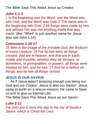The Bible Says This About Jesus as Creator:

### *John 1:1-3*

*1* In the beginning was the Word, and the Word was with God, and the Word was God. *2* The same was in the beginning with God. *3* All things were made by him; and without him was not anything made that was made. (the "Word" is just another name for Jesus also see John 1:14)

#### *Colossians 1:15-17*

*15 Who is the image of the invisible God, the firstborn of every creature: 16 For by him were all things created, that are in heaven, and that are in earth, visible and invisible, whether they be thrones, or dominions, or principalities, or powers: all things were created by him, and for him: 17 And he is before all things, and by him all things consist.*

#### **JESUS IS OUR SAVIOR**

 As if Jesus wasn't amazing enough just being our God and our Creator, Jesus is also our Savior! Jesus came to earth on a rescue mission. He came to Save us and to give us Eternal Life!

The Bible Says This About Jesus as our Savior:

#### *Luke 2:11*

*For unto you is born this day in the city of David a Savior, which is Christ the Lord.*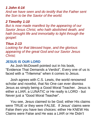### *1 John 4:14*

*And we have seen and do testify that the Father sent the Son to be the Savior of the world.*

## *2 Timothy 1:10*

*But is now made manifest by the appearing of our Savior Jesus Christ, who hath abolished death, and hath brought life and immortality to light through the gospel:*

#### *Titus 2:13*

*Looking for that blessed hope, and the glorious appearing of the great God and our Savior Jesus Christ;*

### **JESUS IS OUR LORD**

 As Josh McDowell pointed out in his book, "Evidence That Demands a Verdict", Every one of us is faced with a "Trilemma" when it comes to Jesus.

 Josh agrees with C.S. Lewis, the world renowned scholar and novelist, that No One can ever dismiss Jesus as simply being a Good Moral Teacher. Jesus is either a LIAR, a LUNATIC or He really is LORD - but Never just a "Good Moral Teacher".

 You see, Jesus claimed to be God; either His claims were TRUE or they were FALSE. If Jesus' claims were False then you have two choices: either He KNEW His Claims were False and He was a LIAR or He Didn't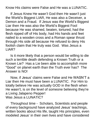Know His claims were False and He was a LUNATIC.

 If Jesus Knew He wasn't God then He wasn't just the World's Biggest LIAR, He was also a Deceiver, a Demon and a Fraud. If Jesus was the World's Biggest Liar then He was also the World's Biggest Fool because He was shamed, beaten, tortured, had the flesh ripped off of His body, had His hands and feet nailed to a wooden cross and a Roman spear thrust through His side all because He refused to deny His foolish claim that He truly was God. Was Jesus a LIAR?

 Is it more likely that a person would be willing to die such a terrible death defending a Known Truth or a Known Lie? Has a Lie been able to accomplish more "Good" on planet earth than the Truth ever has? The Answer is NO!

 Now, if Jesus' claims were False and He WASN'T a Liar then He must have been a LUNATIC. For Him to totally believe He was actually GOD in the flesh when He wasn't, is on the level of someone believing they're a Living Jalapeno Pepper! Was Jesus a LUNATIC?

 Throughout time - Scholars, Scientists and people of every background have analyzed Jesus' teachings, written books about His life, taught His principles, even modeled Jesus' in their own lives and have considered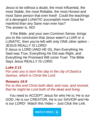Jesus to be without a doubt, the most Influential, the most Stable, the most Reliable, the most Honest and most Sane person that ever lived! Could the teachings of a deranged LUNATIC accomplish more Good for mankind than any Sane man ever has? The answer is, NO!

 If the Bible, and your own Common Sense, brings you to the conclusion that Jesus wasn't a LIAR or a LUNATIC, then you're left with only ONE other option - JESUS REALLY IS LORD! If Jesus is LORD (AND HE IS), then Everything He Said was True, Everything He Did was Right, and Everything He Promised Will come True! The Bible Says Jesus REALLY IS LORD:

### *Luke 2:11*

*For unto you is born this day in the city of David a Saviour, which is Christ the Lord.*

# *Romans 14:9*

*For to this end Christ both died, and rose, and revived, that he might be Lord both of the dead and living.*

You need to ACCEPT Jesus for who He is; He is our GOD, He is our CREATOR, He is our SAVIOR and He is our LORD! Watch this Video – Just Click the Link.

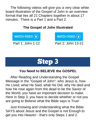The following videos will give you a very clear white board illustration of the Gospel of John in an overview format that ties all 21 Chapters together in about 17 minutes. There is a Part 1 and a Part 2.

## **The Gospel of John Illustrated**

WATCH VIDEO  $\left(\blacktriangleright\right)$ 

WATCH VIDEO (D)

Part 1: John 1-12 Part 2: John 13-21



## **You Need to BELIEVE the GOSPEL**

 After Reading and Understanding the Gospel Message in the "Gospel of John"; who Jesus is, how He Lived, what He Said, what He Did, why He died and how He rose again from the dead to be the Savior of the World, you have an important decision to make. Here in Step 3, you have to decide whether or not you are going to Believe what the Bible says is True!

 Just Knowing and Understanding what the Bible SAYS about Jesus and the Gospel is not Enough to get you into Heaven - that's only Steps 1 and 2.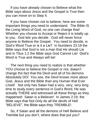If you have already chosen to Believe what the Bible says about Jesus and the Gospel is True then you can move on to Step 4.

 If you have chosen not to believe, here are some important things you need to understand. The Bible IS the Living Word of God, no one can change that! Whether you choose to Accept or Reject it is totally up to you. God lets you decide. God will never force anyone to Believe the Gospel. You need to decide, is God's Word True or is it a Lie? In Numbers 23:19 the Bible says that God is not a man that He should Lie and in Titus 1:2 the Bible says God Cannot Lie! God's Word is True and Always will be!

 The next thing you need to realize is that whether YOU choose to believe the Gospel or not, doesn't change the fact that the Devil and all of his demons Absolutely DO! You see, the Devil knows more about God, Jesus and the Bible than any Human that Ever LIved! Not only has Satan had a very, very, very long time to study every sentence in God's Word, He was actually THERE and witnessed all these things as they Happened! Satan is a Believer! In James 2:19, the Bible says that Not Only do all the devils of Hell "BELIEVE", the Bible says they TREMBLE!

 So, if Satan and all the demons of Hell Believe and Tremble but you don't, where does that put you?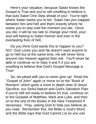Here's your situation, because Satan knows the Gospel is True and you're still unwilling to believe it, that puts Satan One Step ahead of you! You're right where Satan wants you to be! Satan has you trapped between him and hell and that's exactly where he wants you to stay until the moment you die. Once you die, it will be too late to change your mind, your soul will belong to Satan forever and ever in the everlasting fires of hell.

Do you think God wants this to happen to you? NO! God Loves you and He doesn't want anyone to go to Hell but at the same time, He will never force anyone into Heaven against their will. You'll never be able to continue on to Step 4 and 5 if you are unwilling to believe that God's Gospel Message is True!

So, we plead with you to never give up! Read the "Gospel of John" again or move on to the "Book of Romans" which gives a more in depth view of Jesus' Sacrifice, our Sinful Nature and God's Salvation Plan. If you're still not ready to believe it's true, continue on to the Gospels of Matthew, Mark and Luke, and then on to the rest of the Books in the New Testament if necessary. Pray, asking God to help you believe as you read. Remember this, the Bible is God's Word and the Bible says that God Cannot Lie so you can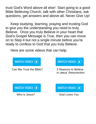trust God's Word above all else! Start going to a good Bible Believing Church, talk with other Christians, ask questions, get answers and above all, Never Give Up!

 Keep studying, learning, praying and trusting God to give you the understanding you need to truly Believe. Once you truly Believe in your heart that God's Gospel Message is True, then you can move on to Step 4 but not a single minute before you're ready to confess to God that you truly Believe.

Here are some videos that can help:



Can We Trust the Bible? 5 Reasons to Believe



In Jesus' Resurrection





Who is Jesus? God Loves You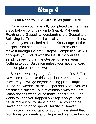

## **You Need to LOVE JESUS as your LORD**

 Make sure you have fully completed the first three steps before continuing on to Step 4. Although Reading the Gospel, Understanding the Gospel and Believing it's True are all critical steps - up until now, you've only established a "Head Knowledge" of the Gospel. You see, even Satan and his devils can make it through the first 3 steps! Completing Step 3 only gets you EVEN with the Devil! So you see, simply believing that the Gospel is True means Nothing to your Salvation unless you move forward and complete the next two steps!

Step 4 is where you get Ahead of the Devil! The Devil can Never take this step, but YOU can. Step 4 is where you will go beyond having just a simple "Head Knowledge" of the Gospel and where you will establish a sincere Love relationship with the Lord! Satan doesn't want you to make it past Step 3, he wants to keep you trapped on Step 3 so you can never make it on to Steps 4 and 5 so you can be Saved and go on to spend Eternity in Heaven! In this step It's important for you to understand that God loves you dearly and He proved his Love for you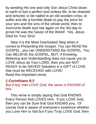by sending His one and only Son Jesus Christ down to earth to live a perfect and sinless life, to be shamed and tortured, to be nailed to an old wooden cross, to suffer and die a horrible death to pay the price for your sins and the sins of the whole world, then to overcome death and rise again on the 3rd day to prove He was the Savior of the World! Yes, Jesus Died for Your Sins!

 Step 4 is the Most Overlooked Step when it comes to Presenting the Gospel. You can READ the GOSPEL, you can UNDERSTAND the GOSPEL, You Can BELIEVE the GOSPEL, BUT, if Knowing, Believing and Understanding does not cause you to LOVE Jesus as Your LORD, then you are NOT READY to be SAVED! Salvation is a GIFT of LOVE that must be RECEIVED with LOVE! Read this Important verse:

## *1 Corinthians 8:3*

*But if any man LOVE God, the same is KNOWN of him.*

This verse is simply saying that God KNOWS Every Person that LOVES Him. If you LOVE God, then you can be Sure that God KNOWS you. Of course God is aware of everyone's existence whether you Love Him or Not but if you Truly LOVE God, then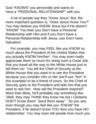God "KNOWS" you personally and wants to have a "PERSONAL RELATIONSHIP" with you.

A lot of people say they "Know Jesus" But, the more important question is, "Does Jesus Know You?" You may believe you KNOW Jesus but if He doesn't "KNOW" You then you Don't have a Personal Relationship with Him and if you Don't have a Personal Relationship with Jesus, you Don't have Salvation!

For example, you may FEEL like you KNOW so much about the President of the United States that you actually KNOW him/her! You may even really appreciate them so much for doing such a Great Job, that you travel all the way to the White House just to tell them so! You tell the Chief of Security at the White House that you want in to see the President because you consider Him or Her *(we'll use "him" in this example)* to be a friend of yours. So the Chief of Security goes to the President and tells him that you want to see him. How will the President respond? More than likely, he'll probably say something like, "Well, they may THINK they know me but I Certainly DON'T Know them! Send them away". So you see, even though you may feel like you "KNOW" the President, if he doesn't know YOU then you have NO relationship! You may even tell people how much you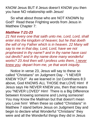KNOW Jesus BUT if Jesus doesn't KNOW you then you have NO relationship with Jesus!

So what about those who are NOT KNOWN by God? Read these Frighting words from Jesus in Matthew Chapter 7:

#### *Matthew 7:21-23*

*21 Not every one that saith unto me, Lord, Lord, shall enter into the kingdom of heaven; but he that doeth the will of my Father which is in heaven. 22 Many will say to me in that day, Lord, Lord, have we not prophesied in thy name? and in thy name have cast out devils? and in thy name done many wonderful works? 23 And then will I profess unto them, I never knew you: depart from me, ye that work iniquity.* 

Notice in verse 23, Jesus will say to these so called "Christians" on Judgment Day - "I NEVER KNEW YOU!" As we learned in 1st Corinthians 8:3 above, God KNOWS ALL THOSE that LOVE Him! If Jesus says He NEVER KNEW you, then that means you "NEVER LOVED" Him! There is a Big Difference between Knowing someone and Loving someone! You may Know the Mailman but that doesn't mean you Love him! When these so called "Christians" in Matthew 7 stand before Jesus on Judgment Day and begin to declare what Wonderful "Christians" they were and all the Wonderful things they did in Jesus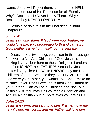Name, Jesus will Reject them, send them to HELL and put them out of His Presence for all Eternity. Why? Because He Never Knew Them. Why? Because they NEVER LOVED HIM!

Jesus also said this to the Pharisees in John Chapter 8:

## *John 8:42*

*Jesus said unto them, If God were your Father, ye would love me: for I proceeded forth and came from God; neither came I of myself, but he sent me.*

Jesus makes two things very clear in this passage; first, we are Not ALL Children of God. Jesus is making it very clear here to these Religious Leaders that God IS NOT their FATHER! Secondly, Jesus makes it very clear HOW He KNOWS they are Not Children of God - Because they Don't LOVE Him - "If God were your Father, you would Love Me:" Make no mistake, if you Don't Love Jesus then God Cannot be your Father! Can you be a Christian and Not Love Jesus? NO! You may Call yourself a Christian and Act like a Christian but in God's eyes you are NOT!

## *John 14:23*

*Jesus answered and said unto him, If a man love me, he will keep my words: and my Father will love him,*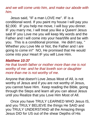## *and we will come unto him, and make our abode with him.*

Jesus said, "IF a man LOVE me". IF is a conditional word. If you paint my house I will pay you \$2,000. IF you help me move, I will buy you dinner. IF you marry me, I will treat you like a Queen! Jesus said IF you Love me you will keep My words and the Father and I will come into your heart/life and be with you. This is a conditional promise. He didn't say, " Whether you Love Me or Not, the Father and I are going to come in!" NO, He promised that He would come into your Heart IF you will Love Him.

## *Matthew 10:37*

*He that loveth father or mother more than me is not worthy of me: and he that loveth son or daughter more than me is not worthy of me.*

Anyone that doesn't Love Jesus Most of All, is not worthy of Jesus and if you are not worthy of Jesus, you cannot have Him. Keep reading the Bible, going through the Steps and learn all you can about Jesus until you Realize that you Love Him Most of All.

Once you have TRULY LEARNED WHO Jesus IS, and you TRULY BELIEVE the things He SAID and you TRULY UNDERSTAND all the Amazing things Jesus DID for US out of the shear Depths of His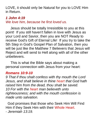LOVE, it should only be Natural for you to LOVE Him in Return.

# *1 John 4:19*

*We love him, because he first loved us.*

Jesus should be totally Irresistible to you at this point! If you still haven't fallen in love with Jesus as your Lord and Savior, then you are NOT Ready to receive God's Gift of Eternal Life! If you try to take the 5th Step in God's Gospel Plan of Salvation, then you will be just like the Matthew 7 Believers that Jesus will Reject and will send to Hell along with all of the other unbelievers.

 This is what the Bible says about making a personal connection with Jesus from your heart:

## *Romans 10:9-10*

*9 That if thou shalt confess with thy mouth the Lord Jesus, and shalt believe in thine heart that God hath raised him from the dead, thou shalt be saved. 10 For with the heart man believeth unto righteousness; and with the mouth confession is made unto salvation.*

 God promises that those who Seek Him Will Find Him if they Seek Him with their Whole Heart. - *Jeremiah 13:19.*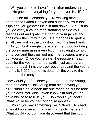Will you chose to Love Jesus after understanding that He gave up everything for you – even His life?

 Imagine this scenario, you're walking along the edge of the Grand Canyon and suddenly, your foot slips and you go over the cliff and down! But, just as you go over, a young man standing beside you reaches out and grabs the hood of your jacket and goes over the cliff with you. He manages to grab a small tree root on the way down with his free hand.

 As you both dangle there over the 5,000 foot drop, the young man uses every bit of his strength to hold on to you and the tree root until the rescuers arrive to pull you up. Once you're safe, the rescuers head back for the young man but sadly, just as they are about to reach him, the tree root snaps and the young man falls 5,000 feet to his death all the way to the bottom of the canyon.

How would you feel once you heard that the young man had died? This young man died saving you! YOU should have been the one that died but he took your place! You didn't even know him and yet, he gave his life to rescue you. How would you feel? What would be your emotional response?

 Would you say something like, "Oh well, too bad, at least I was saved, that's all that really matters!" What would you do if you discovered that the young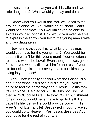man was there at the canyon with his wife and two little daughters? What would you say and do at that moment?

 I know what you would do! You would fall to the ground in disbelief! You would be crushed! Tears would begin to flow! You wouldn't even be able to express your emotions! How would you ever be able to express the sorrow you felt to the young man's wife and two daughters?

 Now let me ask you this, what kind of feelings would you have for the young man? You would be dead if it wasn't for this young man! Your emotional response would be Love! Even though he was gone forever, you would still Love him for the rest of your life for risking his life to save you and for ultimately dying in your place!

 Yes! Once it finally hits you what the Gospel is all about and what Jesus actually did for you, you're going to feel the same way about Jesus! Jesus took YOUR place! He died for YOUR sins not His! He died so YOU could Live! He took YOUR punishment for sin so you would never have to go to Hell! He gave His life just so He could provide you with His Free Gift of Eternal Life! Jesus died in your place so you could go to Heaven! Yes! Jesus deserves ALL your Love for the rest of your Life!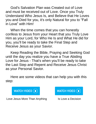God's Salvation Plan was Created out of Love and must be received out of Love. Once you Truly Understand Who Jesus Is, and Believe that He Loves you and Died for you, it's only Natural for you to "Fall in Love" with Him!

 When the time comes that you can honestly confess to Jesus from your Heart that you Truly Love Him as your Lord, for Who He Is and What He did for you, you'll be ready to take the Final Step and Receive Jesus as your Savior.

Keep Reading the Bible, Praying and Seeking God until the day you realize you have a True Abiding Love for Jesus - That's when you'll be ready to take the Last Step and Repent and Receive Jesus Christ as your Personal Savior.

 Here are some videos that can help you with this step:



Love Jesus More Than Anything Is Love a Decision

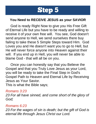

### **You Need to RECEIVE JESUS as your SAVIOR**

 God is ready Right Now to give you His Free Gift of Eternal Life but you have to be ready and willing to receive it of your own free will. You see, God doesn't send anyone to Hell, we send ourselves there buy failing to take these 5 Simple Steps toward Him. God Loves you and He doesn't want you to go to Hell, but He will never force anyone into Heaven against their will. If you end up in Hell, you will never be able to blame God - that will all be on you.

 Once you can honestly say that you Believe the Gospel and that you Truly Love Jesus as your Lord, you will be ready to take the Final Step in God's Gospel Path to Heaven and Eternal Life by Receiving Jesus as Your Savior.

This is what the Bible says;

#### *Romans 3:23*

*23 For all have sinned, and come short of the glory of God;*

#### *Romans 6:23*

*23 For the wages of sin is death; but the gift of God is eternal life through Jesus Christ our Lord.*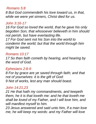#### *Romans 5:8*

*8 But God commendeth his love toward us, in that, while we were yet sinners, Christ died for us.*

#### *John 3:16-17*

*16 For God so loved the world, that he gave his only begotten Son, that whosoever believeth in him should not perish, but have everlasting life.*

*17 For God sent not his Son into the world to condemn the world; but that the world through him might be saved.*

### *Romans 10:17*

*17 So then faith cometh by hearing, and hearing by the word of God.*

### *Ephesians 2:8-9*

*8 For by grace are ye saved through faith; and that not of yourselves: it is the gift of God: 9 Not of works, lest any man should boast.*

#### *John 14:21,23*

*21 He that hath my commandments, and keepeth them, he it is that loveth me: and he that loveth me shall be loved of my Father, and I will love him, and will manifest myself to him.*

*23 Jesus answered and said unto him, If a man love me, he will keep my words: and my Father will love*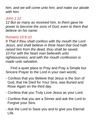*him, and we will come unto him, and make our abode with him.*

# *John 1:12*

*12 But as many as received him, to them gave he power to become the sons of God, even to them that believe on his name:*

# *Romans 10:9-10*

*9 That if thou shalt confess with thy mouth the Lord Jesus, and shalt believe in thine heart that God hath raised him from the dead, thou shalt be saved. 10 For with the heart man believeth unto righteousness; and with the mouth confession is made unto salvation.*

Find a quiet place to Pray and Pray a Simple but Sincere Prayer to the Lord in your own words;

- Confess that you Believe that Jesus is the Son of God, that He Died for Your Sins, was Buried and Rose Again on the third day.
- Confess that you Truly Love Jesus as your Lord.
- Confess that you are a Sinner and ask the Lord to Forgive your Sins.
- Ask the Lord to Save you and to give you Eternal Life.